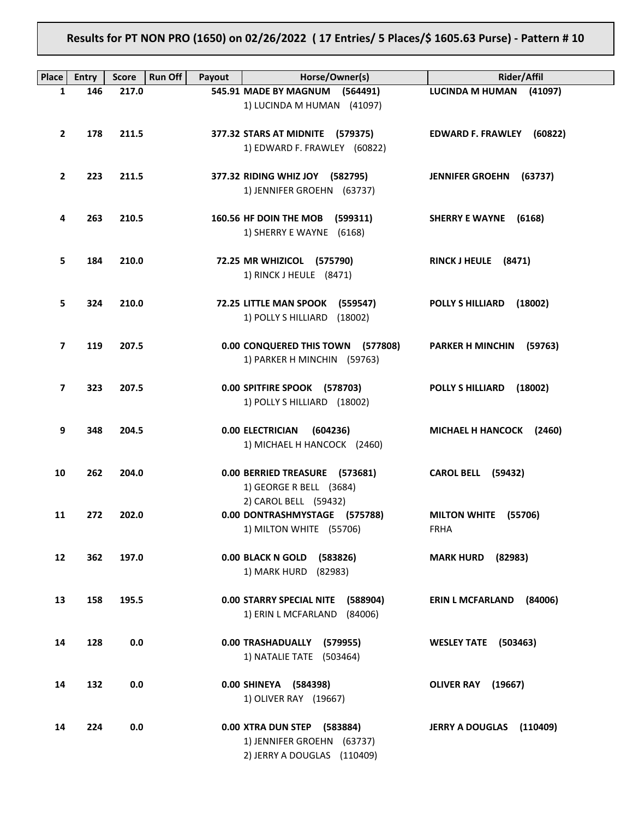**Results for PT NON PRO (1650) on 02/26/2022 ( 17 Entries/ 5 Places/\$ 1605.63 Purse) - Pattern # 10**

| Place          | <b>Entry</b> | <b>Score</b> | <b>Run Off</b><br>Payout | Horse/Owner(s)                                                                           | <b>Rider/Affil</b>                     |
|----------------|--------------|--------------|--------------------------|------------------------------------------------------------------------------------------|----------------------------------------|
| 1              | 146          | 217.0        |                          | 545.91 MADE BY MAGNUM (564491)                                                           | LUCINDA M HUMAN (41097)                |
|                |              |              |                          | 1) LUCINDA M HUMAN (41097)                                                               |                                        |
| $\overline{2}$ | 178          | 211.5        |                          | 377.32 STARS AT MIDNITE (579375)<br>1) EDWARD F. FRAWLEY (60822)                         | EDWARD F. FRAWLEY (60822)              |
| $\mathbf{2}$   | 223          | 211.5        |                          | 377.32 RIDING WHIZ JOY (582795)<br>1) JENNIFER GROEHN (63737)                            | <b>JENNIFER GROEHN</b><br>(63737)      |
| 4              | 263          | 210.5        |                          | 160.56 HF DOIN THE MOB<br>(599311)<br>1) SHERRY E WAYNE (6168)                           | <b>SHERRY E WAYNE</b><br>(6168)        |
| 5.             | 184          | 210.0        |                          | 72.25 MR WHIZICOL (575790)<br>1) RINCK J HEULE (8471)                                    | RINCK J HEULE (8471)                   |
| 5.             | 324          | 210.0        |                          | 72.25 LITTLE MAN SPOOK (559547)<br>1) POLLY S HILLIARD<br>(18002)                        | <b>POLLY S HILLIARD</b><br>(18002)     |
| 7              | 119          | 207.5        |                          | 0.00 CONQUERED THIS TOWN (577808)<br>1) PARKER H MINCHIN (59763)                         | <b>PARKER H MINCHIN</b><br>(59763)     |
| 7              | 323          | 207.5        |                          | 0.00 SPITFIRE SPOOK (578703)<br>1) POLLY S HILLIARD (18002)                              | <b>POLLY S HILLIARD</b><br>(18002)     |
| 9              | 348          | 204.5        |                          | <b>0.00 ELECTRICIAN</b><br>(604236)<br>1) MICHAEL H HANCOCK (2460)                       | MICHAEL H HANCOCK (2460)               |
| 10             | 262          | 204.0        |                          | 0.00 BERRIED TREASURE (573681)<br>1) GEORGE R BELL (3684)                                | <b>CAROL BELL (59432)</b>              |
| 11             | 272          | 202.0        |                          | 2) CAROL BELL (59432)<br>0.00 DONTRASHMYSTAGE (575788)<br>1) MILTON WHITE (55706)        | <b>MILTON WHITE</b><br>(55706)<br>FRHA |
| 12             | 362          | 197.0        |                          | 0.00 BLACK N GOLD (583826)<br>1) MARK HURD (82983)                                       | <b>MARK HURD</b> (82983)               |
| 13             | 158          | 195.5        |                          | 0.00 STARRY SPECIAL NITE (588904)<br>1) ERIN L MCFARLAND (84006)                         | <b>ERIN L MCFARLAND</b><br>(84006)     |
| 14             | 128          | 0.0          |                          | 0.00 TRASHADUALLY (579955)<br>1) NATALIE TATE (503464)                                   | <b>WESLEY TATE (503463)</b>            |
| 14             | 132          | 0.0          |                          | 0.00 SHINEYA (584398)<br>1) OLIVER RAY (19667)                                           | OLIVER RAY (19667)                     |
| 14             | 224          | 0.0          |                          | 0.00 XTRA DUN STEP (583884)<br>1) JENNIFER GROEHN (63737)<br>2) JERRY A DOUGLAS (110409) | JERRY A DOUGLAS (110409)               |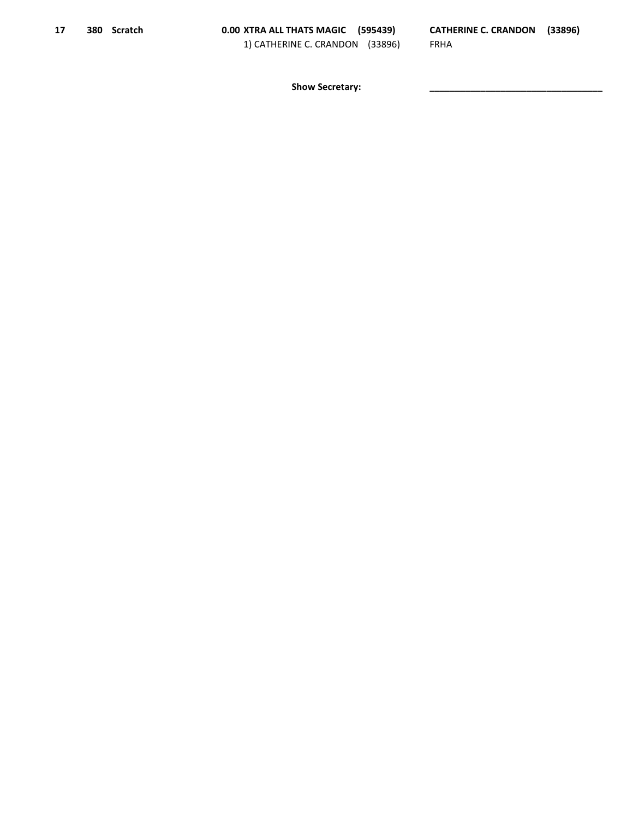Show Secretary: